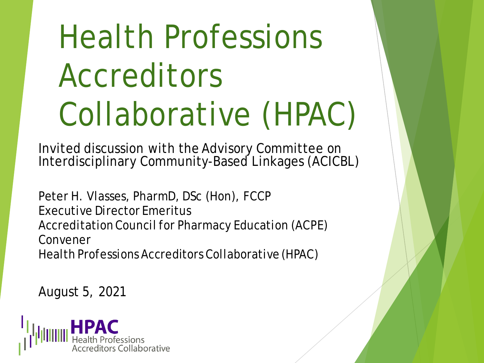## Health Professions Accreditors Collaborative (HPAC)

Invited discussion with the Advisory Committee on Interdisciplinary Community-Based Linkages (ACICBL)

Peter H. Vlasses, PharmD, DSc (Hon), FCCP Executive Director Emeritus Accreditation Council for Pharmacy Education (ACPE) Convener Health Professions Accreditors Collaborative (HPAC)

August 5, 2021

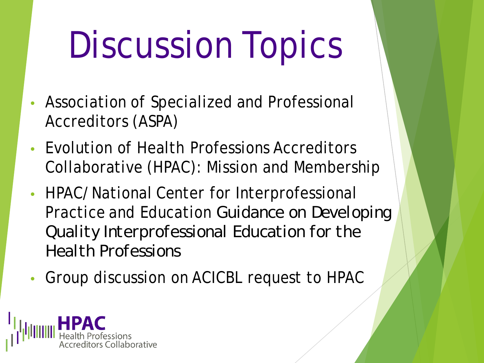# Discussion Topics

- Association of Specialized and Professional Accreditors (ASPA)
- Evolution of Health Professions Accreditors Collaborative (HPAC): Mission and Membership
- HPAC/National Center for Interprofessional Practice and Education *Guidance on Developing Quality Interprofessional Education for the Health Professions*
- Group discussion on ACICBL request to HPAC

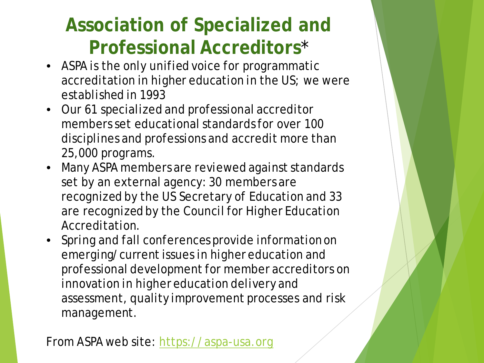### **Association of Specialized and Professional Accreditors**\*

- ASPA is the only unified voice for programmatic accreditation in higher education in the US; we were established in 1993
- Our 61 specialized and professional accreditor members set educational standards for over 100 disciplines and professions and accredit more than 25,000 programs.
- Many ASPA members are reviewed against standards set by an external agency: 30 members are recognized by the US Secretary of Education and 33 are recognized by the Council for Higher Education Accreditation.
- Spring and fall conferences provide information on emerging/current issues in higher education and professional development for member accreditors on innovation in higher education delivery and assessment, quality improvement processes and risk management.

From ASPA web site: [https://aspa-usa.org](https://aspa-usa.org/)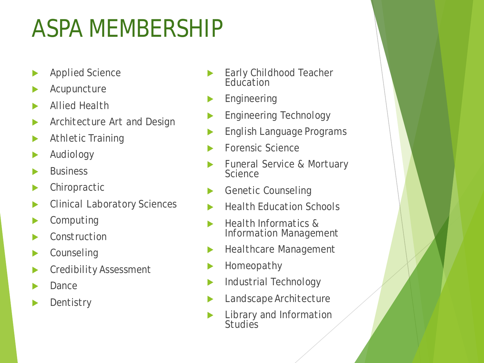### ASPA MEMBERSHIP

- Applied Science
- Acupuncture
- Allied Health
- Architecture Art and Design
- **Athletic Training**
- Audiology
- Business
- **Chiropractic**
- Clinical Laboratory Sciences
- Computing
- **Construction**
- **Counseling**
- Credibility Assessment
- Dance
- **Dentistry**
- **Early Childhood Teacher Education**
- Engineering
- Engineering Technology
- English Language Programs
- Forensic Science
- Funeral Service & Mortuary **Science**
- Genetic Counseling
- Health Education Schools
- Health Informatics & Information Management
- Healthcare Management
- Homeopathy
- Industrial Technology
- Landscape Architecture
- Library and Information **Studies**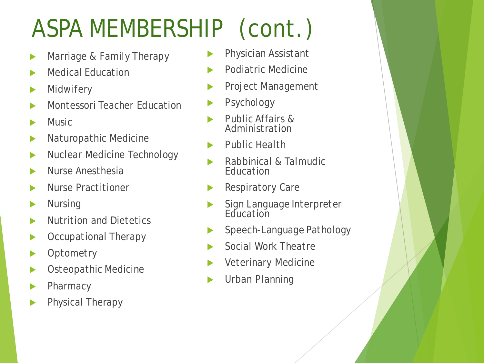## ASPA MEMBERSHIP (cont.)

- Marriage & Family Therapy
- Medical Education
- **Midwifery**
- Montessori Teacher Education
- **Music**
- Naturopathic Medicine
- Nuclear Medicine Technology
- Nurse Anesthesia
- Nurse Practitioner
- Nursing
- Nutrition and Dietetics
- Occupational Therapy
- **Optometry**
- Osteopathic Medicine
- **Pharmacy**
- Physical Therapy
- Physician Assistant
- Podiatric Medicine
- Project Management
- Psychology
- Public Affairs & Administration
- Public Health
- Rabbinical & Talmudic **Education**
- Respiratory Care
- Sign Language Interpreter Education
- Speech-Language Pathology
- Social Work Theatre
- Veterinary Medicine
- Urban Planning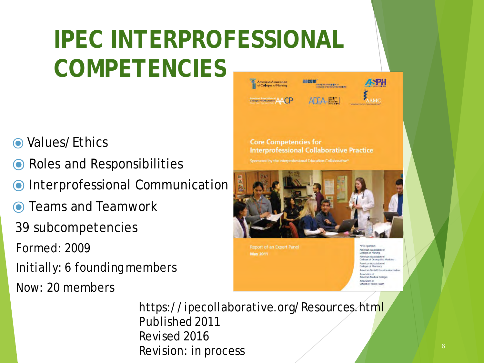#### **IPEC INTERPROFESSIONAL COMPETENCIES American Accorpation** aacom

- **O** Values/Ethics
- ⦿ Roles and Responsibilities
- Interprofessional Communication
- **◯** Teams and Teamwork
- 39 subcompetencies
- Formed: 2009
- Initially: 6 founding members
- Now: 20 members



**Report of an Expert Panel May 2011** 

**IFEC** spotsors American Association of Colleges of Nursing American Association of Collages of Ostaggathic Madicina American Association of Colleges of Pharmacy American Flenfal Febratics Americation of Association of Schools of Public Hoalth

https://ipecollaborative.org/Resources.html Published 2011 Revised 2016 Revision: in process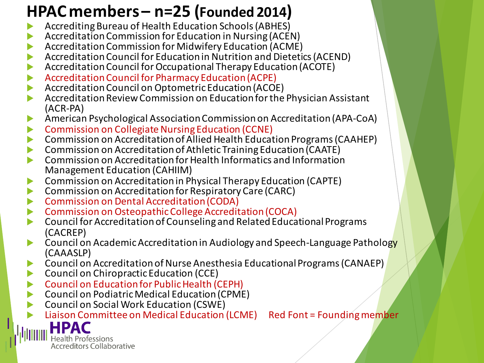#### **HPAC members – n=25 (Founded 2014)**

- Accrediting Bureau of Health Education Schools (ABHES)
- Accreditation Commission for Education in Nursing (ACEN)
- Accreditation Commission for Midwifery Education (ACME)
- Accreditation Council for Education in Nutrition and Dietetics (ACEND)
- Accreditation Council for Occupational Therapy Education (ACOTE)
- Accreditation Council for Pharmacy Education (ACPE)
- **Accreditation Council on Optometric Education (ACOE)**
- Accreditation Review Commission on Education for the Physician Assistant (ACR‐PA)
- American Psychological Association Commission on Accreditation (APA‐CoA)
- Commission on Collegiate Nursing Education (CCNE)
- Commission on Accreditation of Allied Health Education Programs (CAAHEP)
- Commission on Accreditation of Athletic Training Education (CAATE)
- **EXECOMMISSION ON Accreditation for Health Informatics and Information** Management Education (CAHIIM)
- Commission on Accreditation in Physical Therapy Education (CAPTE)
- Commission on Accreditation for Respiratory Care (CARC)
- Commission on Dental Accreditation (CODA)
- Commission on Osteopathic College Accreditation (COCA)
- Council for Accreditation of Counseling and Related Educational Programs (CACREP)
- Council on Academic Accreditation in Audiology and Speech‐Language Pathology (CAAASLP)
- Council on Accreditation of Nurse Anesthesia Educational Programs (CANAEP)
- Council on Chiropractic Education (CCE)
- Council on Education for Public Health (CEPH)
- Council on Podiatric Medical Education (CPME)
- Council on Social Work Education (CSWE)

Liaison Committee on Medical Education (LCME) Red Font = Founding member

Health Professions **Accreditors Collaborative**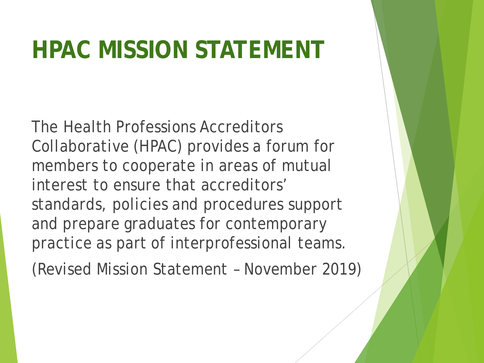### **HPAC MISSION STATEMENT**

The Health Professions Accreditors Collaborative (HPAC) provides a forum for members to cooperate in areas of mutual interest to ensure that accreditors' standards, policies and procedures support and prepare graduates for contemporary practice as part of interprofessional teams.

(Revised Mission Statement – November 2019)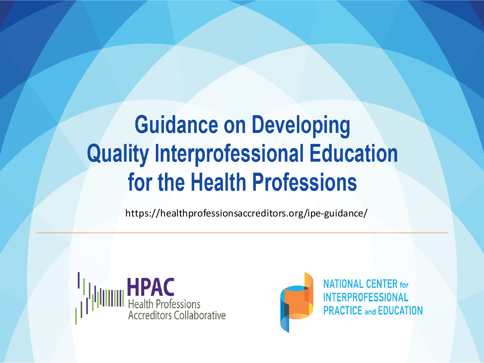### **Guidance on Developing Quality Interprofessional Education** for the Health Professions

https://healthprofessionsaccreditors.org/ipe-guidance/





**NATIONAL CENTER for INTERPROFESSIONAL PRACTICE and EDUCATION**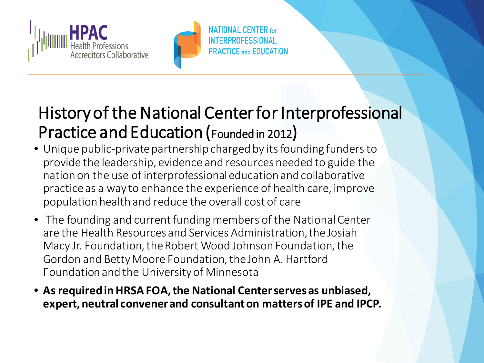



#### History of the National Center for Interprofessional Practice and Education (Founded in 2012)

- Unique public-private partnership charged by its founding funders to provide the leadership, evidence and resources needed to guide the nation on the use of interprofessional education and collaborative practice as a way to enhance the experience of health care, improve population health and reduce the overall cost of care
- The founding and current funding members of the National Center are the Health Resources and Services Administration, the Josiah Macy Jr. Foundation, the Robert Wood Johnson Foundation, the Gordon and Betty Moore Foundation, the John A. Hartford Foundation and the University of Minnesota
- **As required in HRSA FOA, the National Center serves as unbiased, expert, neutral convener and consultant on matters of IPE and IPCP.**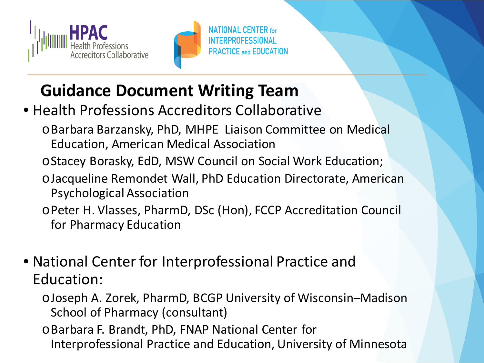



#### **Guidance Document Writing Team**

- Health Professions Accreditors Collaborative
	- oBarbara Barzansky, PhD, MHPE Liaison Committee on Medical Education, American Medical Association
	- oStacey Borasky, EdD, MSW Council on Social Work Education;
	- oJacqueline Remondet Wall, PhD Education Directorate, American Psychological Association
	- oPeter H. Vlasses, PharmD, DSc (Hon), FCCP Accreditation Council for Pharmacy Education
- National Center for Interprofessional Practice and Education:
	- oJoseph A. Zorek, PharmD, BCGP University of Wisconsin–Madison School of Pharmacy (consultant)
	- oBarbara F. Brandt, PhD, FNAP National Center for Interprofessional Practice and Education, University of Minnesota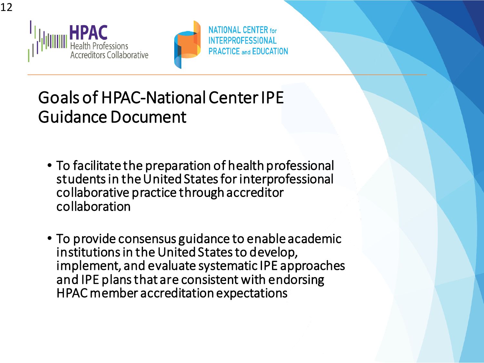



### Goals of HPAC-National Center IPE Guidance Document

- To facilitate the preparation of health professional students in the United States for interprofessional collaborative practice through accreditor collaboration
- To provide consensus guidance to enable academic institutions in the United States to develop, implement, and evaluate systematic IPE approaches and IPE plans that are consistent with endorsing HPAC member accreditation expectations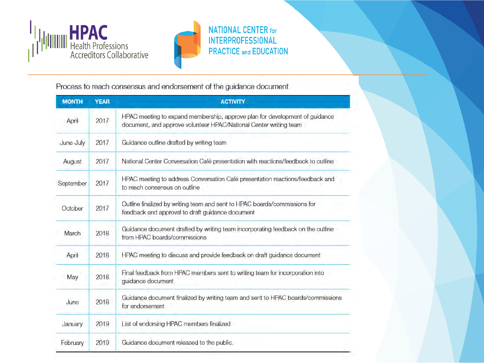



Process to reach consensus and endorsement of the guidance document

| <b>MONTH</b> | <b>YEAR</b> | <b>ACTIVITY</b>                                                                                                                                  |
|--------------|-------------|--------------------------------------------------------------------------------------------------------------------------------------------------|
| April        | 2017        | HPAC meeting to expand membership, approve plan for development of guidance<br>document, and approve volunteer HPAC/National Center writing team |
| June-July    | 2017        | Guidance outline drafted by writing team                                                                                                         |
| August       | 2017        | National Center Conversation Café presentation with reactions/feedback to outline                                                                |
| September    | 2017        | HPAC meeting to address Conversation Café presentation reactions/feedback and<br>to reach consensus on outline                                   |
| October      | 2017        | Outline finalized by writing team and sent to HPAC boards/commissions for<br>feedback and approval to draft guidance document                    |
| March        | 2018        | Guidance document drafted by writing team incorporating feedback on the outline<br>from HPAC boards/commissions                                  |
| April        | 2018        | HPAC meeting to discuss and provide feedback on draft guidance document                                                                          |
| May          | 2018        | Final feedback from HPAC members sent to writing team for incorporation into<br>guidance document                                                |
| June         | 2018        | Guidance document finalized by writing team and sent to HPAC boards/commissions<br>for endorsement                                               |
| January      | 2019        | List of endorsing HPAC members finalized                                                                                                         |
| February     | 2019        | Guidance document released to the public.                                                                                                        |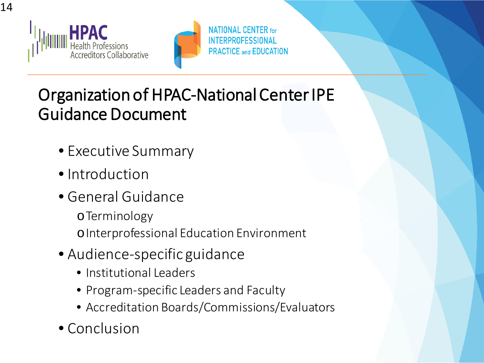



### Organization of HPAC-National Center IPE Guidance Document

- Executive Summary
- Introduction
- General Guidance
	- oTerminology oInterprofessional Education Environment
- Audience-specific guidance
	- Institutional Leaders
	- Program-specific Leaders and Faculty
	- Accreditation Boards/Commissions/Evaluators
- Conclusion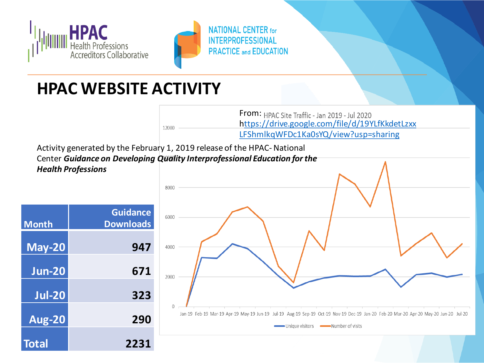



#### **HPAC WEBSITE ACTIVITY**

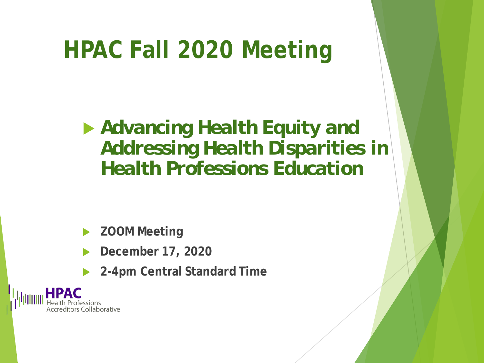### **HPAC Fall 2020 Meeting**

 *Advancing Health Equity and Addressing Health Disparities in Health Professions Education*

**ZOOM Meeting** 

- **December 17, 2020**
- **2-4pm Central Standard Time**

Collaborative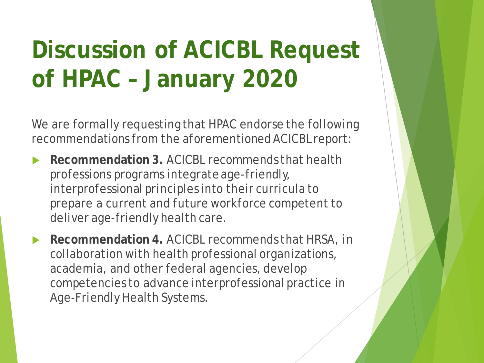### **Discussion of ACICBL Request of HPAC – January 2020**

We are formally requesting that HPAC endorse the following recommendations from the aforementioned ACICBL report:

**Recommendation 3. ACICBL recommends that health** professions programs integrate age-friendly, interprofessional principles into their curricula to prepare a current and future workforce competent to deliver age-friendly health care.

**Recommendation 4. ACICBL recommends that HRSA, in** collaboration with health professional organizations, academia, and other federal agencies, develop competencies to advance interprofessional practice in Age-Friendly Health Systems.